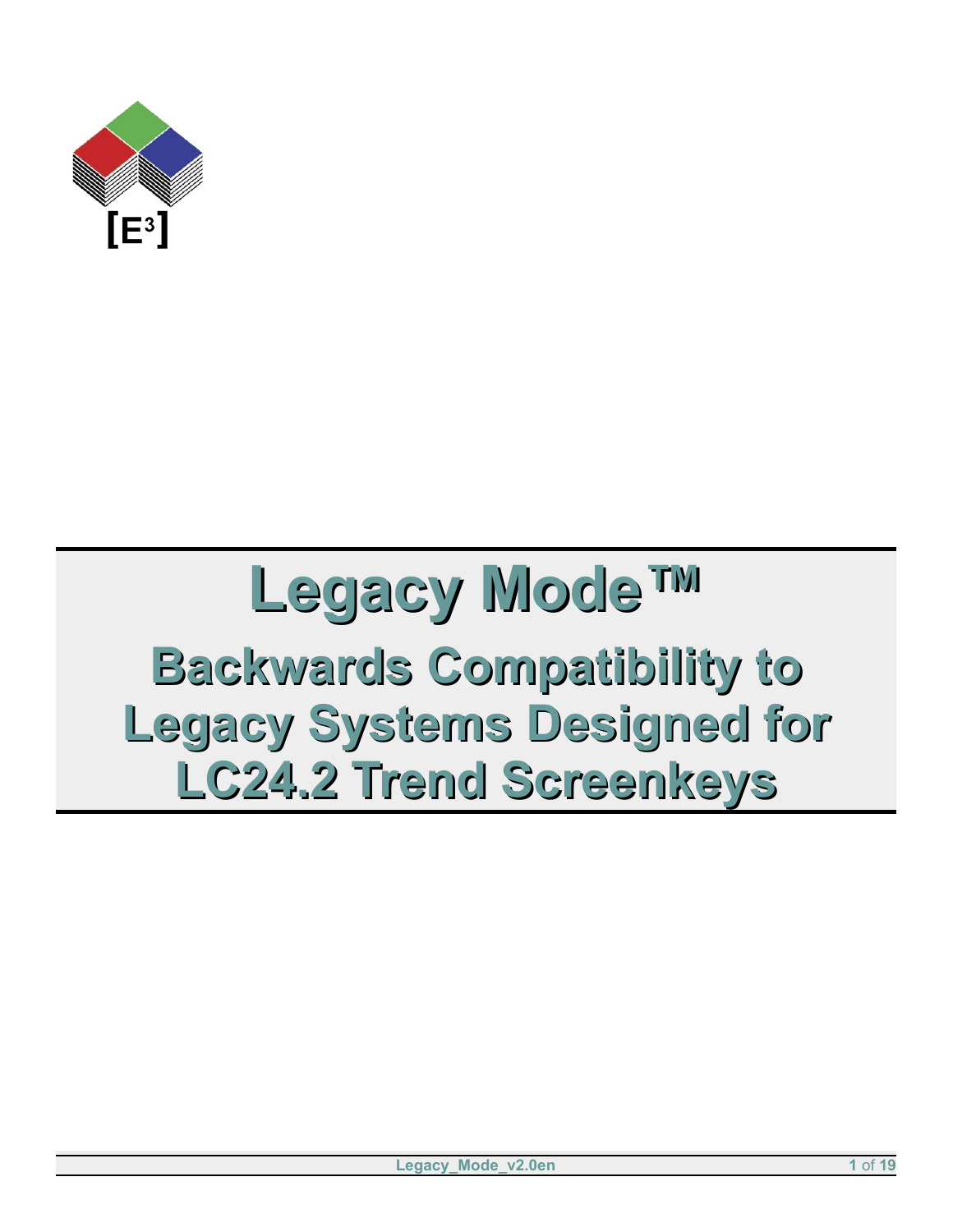

# **Legacy Mode™ Backwards Compatibility to Legacy Systems Designed for LC24.2 Trend Screenkeys**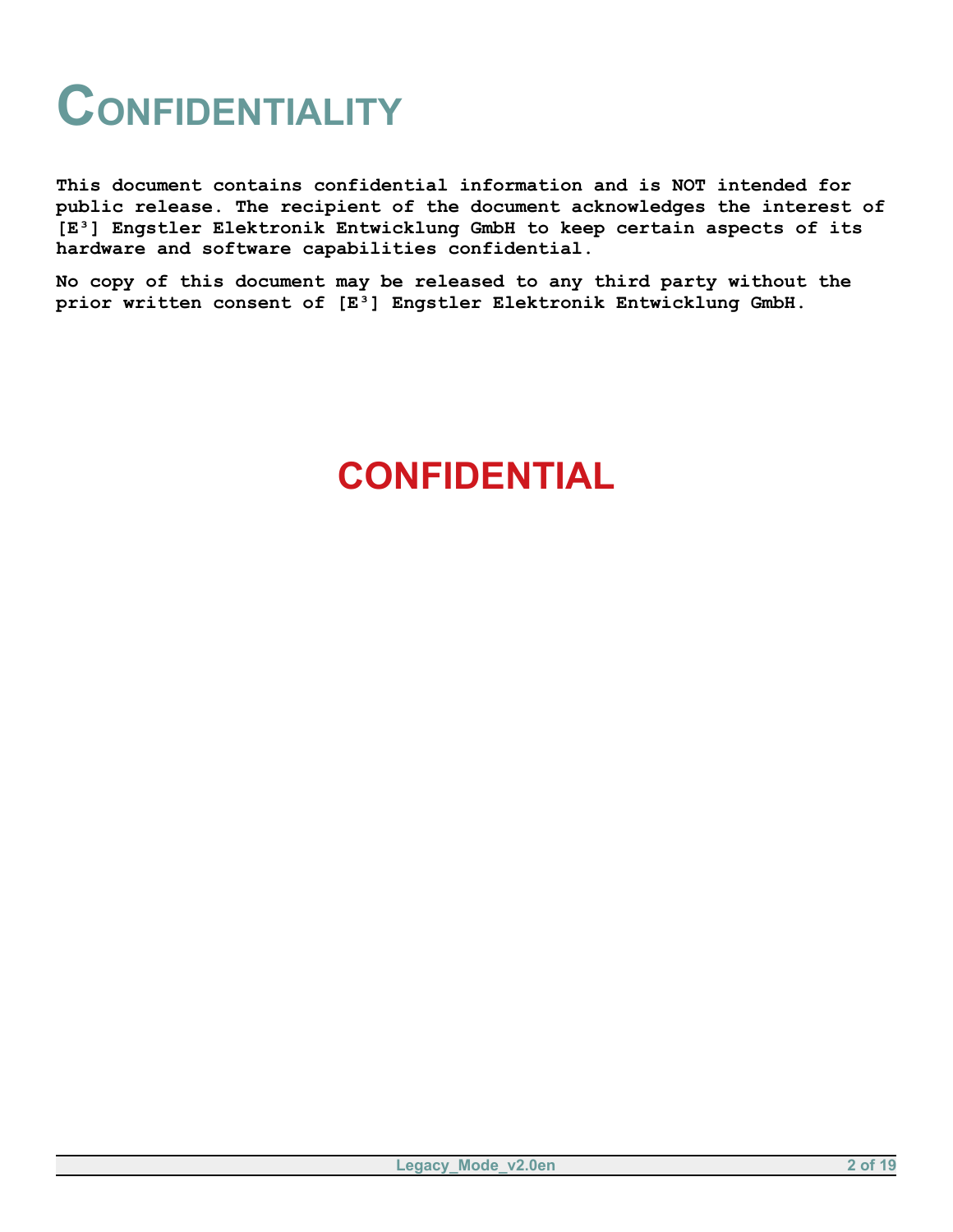## <span id="page-1-0"></span>**CONFIDENTIALITY**

**This document contains confidential information and is NOT intended for public release. The recipient of the document acknowledges the interest of [E³] Engstler Elektronik Entwicklung GmbH to keep certain aspects of its hardware and software capabilities confidential.**

**No copy of this document may be released to any third party without the prior written consent of [E³] Engstler Elektronik Entwicklung GmbH.**

#### **CONFIDENTIAL**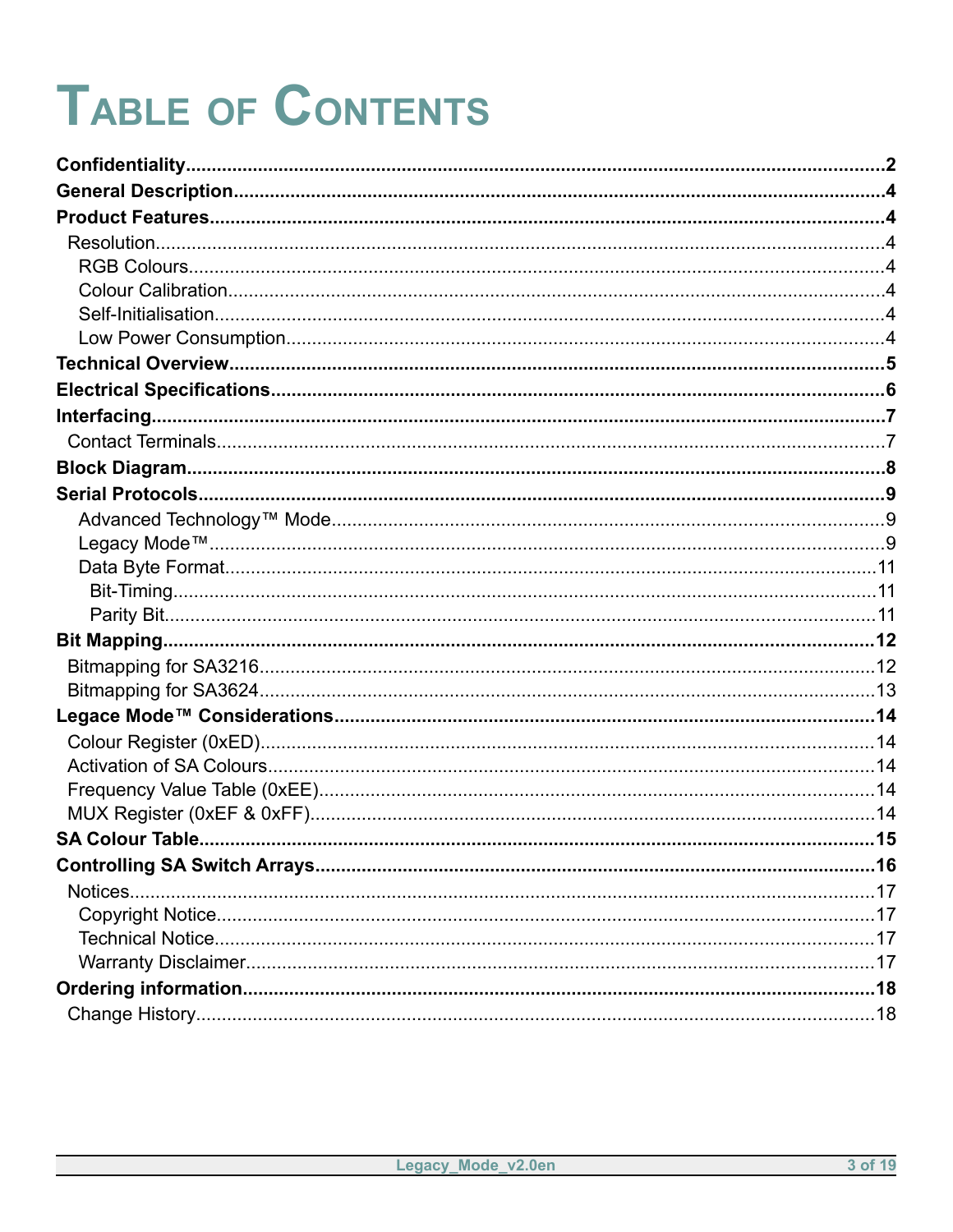# TABLE OF CONTENTS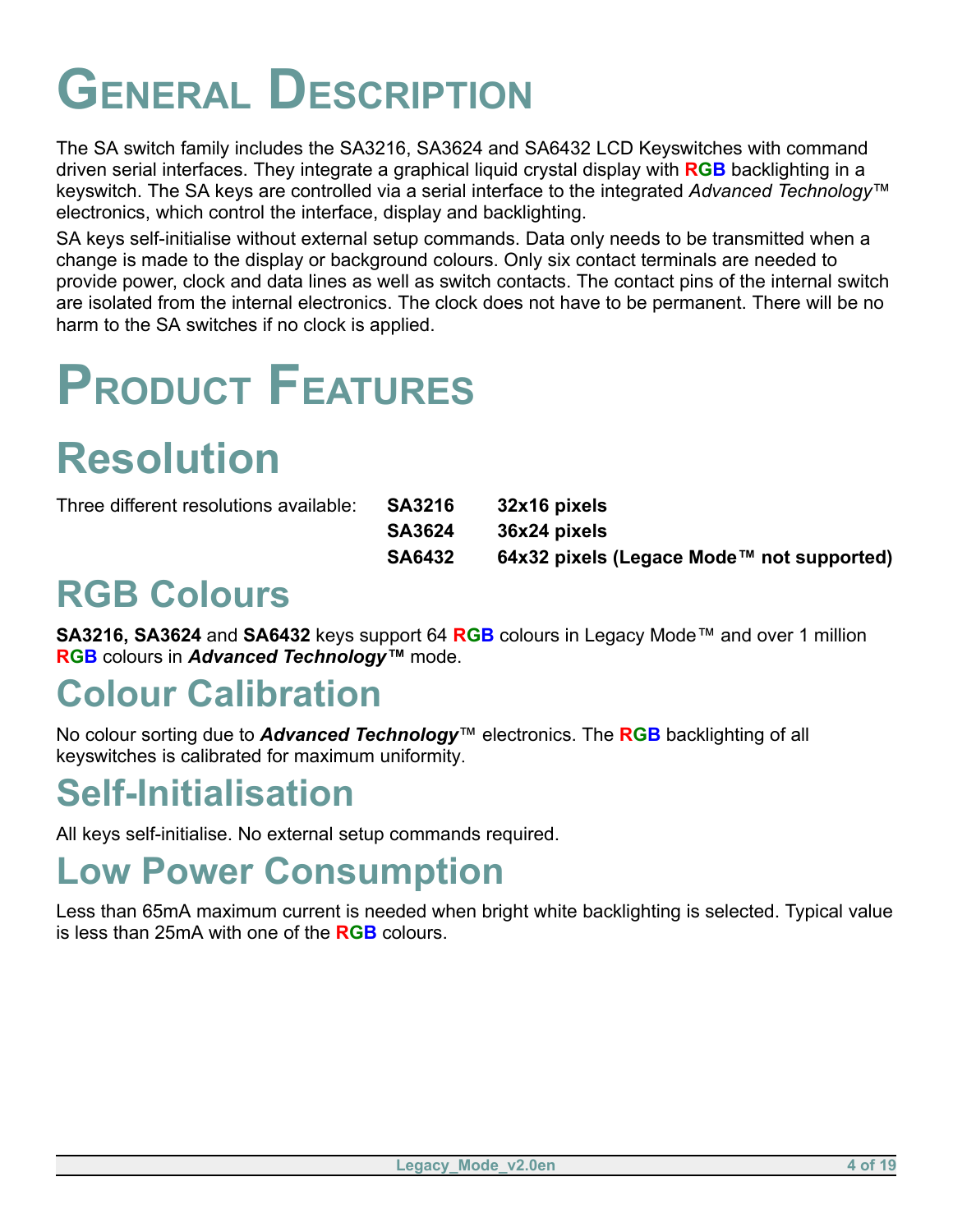## <span id="page-3-6"></span>**GENERAL DESCRIPTION**

The SA switch family includes the SA3216, SA3624 and SA6432 LCD Keyswitches with command driven serial interfaces. They integrate a graphical liquid crystal display with **RGB** backlighting in a keyswitch. The SA keys are controlled via a serial interface to the integrated *Advanced Technology*™ electronics, which control the interface, display and backlighting.

SA keys self-initialise without external setup commands. Data only needs to be transmitted when a change is made to the display or background colours. Only six contact terminals are needed to provide power, clock and data lines as well as switch contacts. The contact pins of the internal switch are isolated from the internal electronics. The clock does not have to be permanent. There will be no harm to the SA switches if no clock is applied.

## <span id="page-3-5"></span>**PRODUCT FEATURES**

### <span id="page-3-4"></span>**Resolution**

| Three different resolutions available: | <b>SA3216</b> | 32x16 pixels                              |
|----------------------------------------|---------------|-------------------------------------------|
|                                        | <b>SA3624</b> | 36x24 pixels                              |
|                                        | <b>SA6432</b> | 64x32 pixels (Legace Mode™ not supported) |

#### <span id="page-3-3"></span>**RGB Colours**

**SA3216, SA3624** and **SA6432** keys support 64 **RGB** colours in Legacy Mode™ and over 1 million **RGB** colours in *Advanced Technology™* mode.

#### <span id="page-3-2"></span>**Colour Calibration**

No colour sorting due to *Advanced Technology*™ electronics. The **RGB** backlighting of all keyswitches is calibrated for maximum uniformity.

#### <span id="page-3-1"></span>**Self-Initialisation**

All keys self-initialise. No external setup commands required.

#### <span id="page-3-0"></span>**Low Power Consumption**

Less than 65mA maximum current is needed when bright white backlighting is selected. Typical value is less than 25mA with one of the **RGB** colours.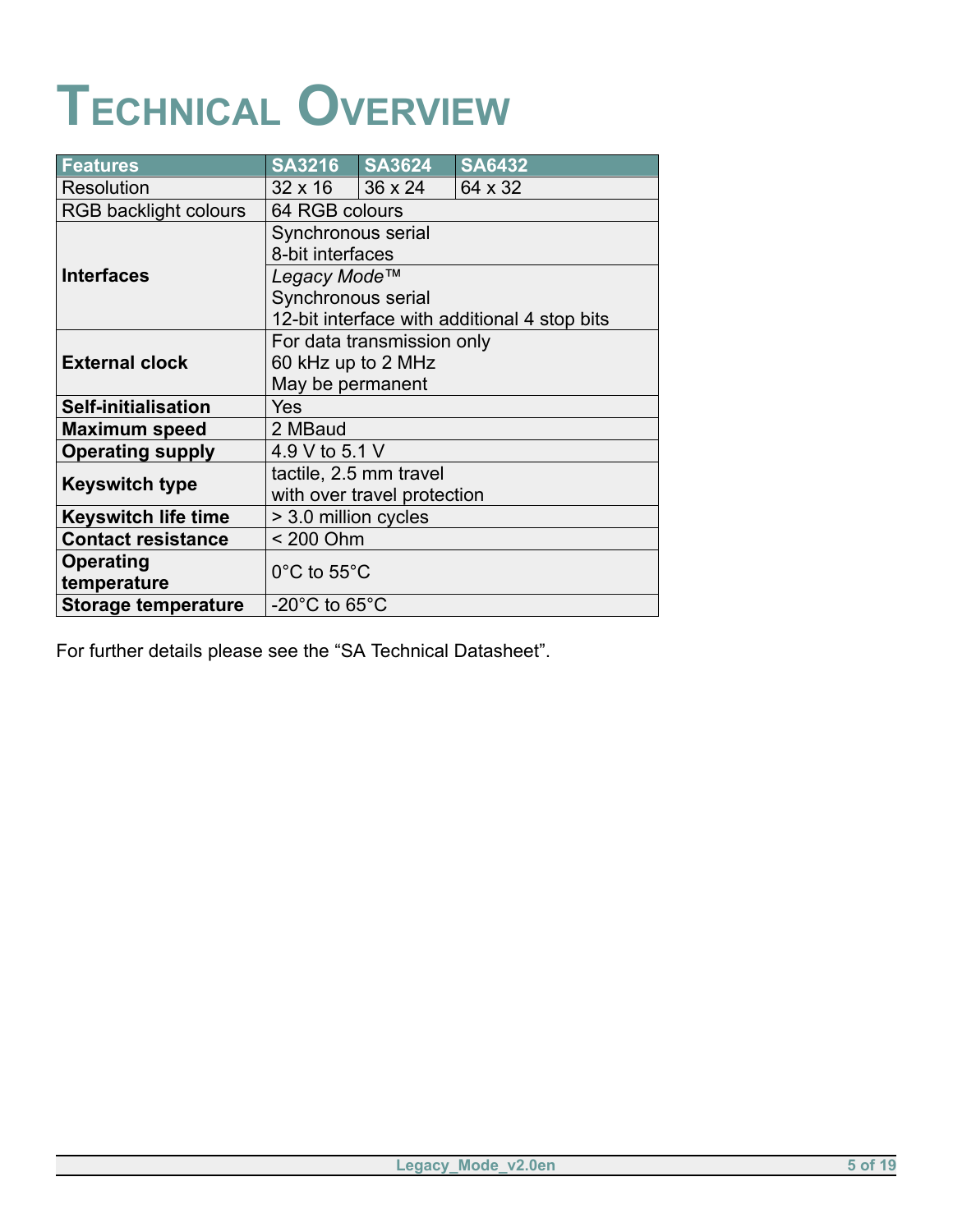## <span id="page-4-0"></span>**TECHNICAL OVERVIEW**

| <b>Features</b>              | <b>SA3216</b>                       | <b>SA3624</b>               | <b>SA6432</b>                                |  |  |
|------------------------------|-------------------------------------|-----------------------------|----------------------------------------------|--|--|
| <b>Resolution</b>            | $32 \times 16$                      | 36 x 24                     | 64 x 32                                      |  |  |
| <b>RGB backlight colours</b> | 64 RGB colours                      |                             |                                              |  |  |
|                              | Synchronous serial                  |                             |                                              |  |  |
|                              | 8-bit interfaces                    |                             |                                              |  |  |
| <b>Interfaces</b>            | Legacy Mode™                        |                             |                                              |  |  |
|                              | Synchronous serial                  |                             |                                              |  |  |
|                              |                                     |                             | 12-bit interface with additional 4 stop bits |  |  |
|                              |                                     | For data transmission only  |                                              |  |  |
| <b>External clock</b>        | 60 kHz up to 2 MHz                  |                             |                                              |  |  |
|                              | May be permanent                    |                             |                                              |  |  |
| <b>Self-initialisation</b>   | Yes                                 |                             |                                              |  |  |
| <b>Maximum speed</b>         | 2 MBaud                             |                             |                                              |  |  |
| <b>Operating supply</b>      | 4.9 V to 5.1 V                      |                             |                                              |  |  |
| <b>Keyswitch type</b>        |                                     | tactile, 2.5 mm travel      |                                              |  |  |
|                              |                                     | with over travel protection |                                              |  |  |
| <b>Keyswitch life time</b>   | > 3.0 million cycles                |                             |                                              |  |  |
| <b>Contact resistance</b>    | < 200 Ohm                           |                             |                                              |  |  |
| Operating                    | $0^{\circ}$ C to 55 $^{\circ}$ C    |                             |                                              |  |  |
| temperature                  |                                     |                             |                                              |  |  |
| <b>Storage temperature</b>   | -20 $^{\circ}$ C to 65 $^{\circ}$ C |                             |                                              |  |  |

For further details please see the "SA Technical Datasheet".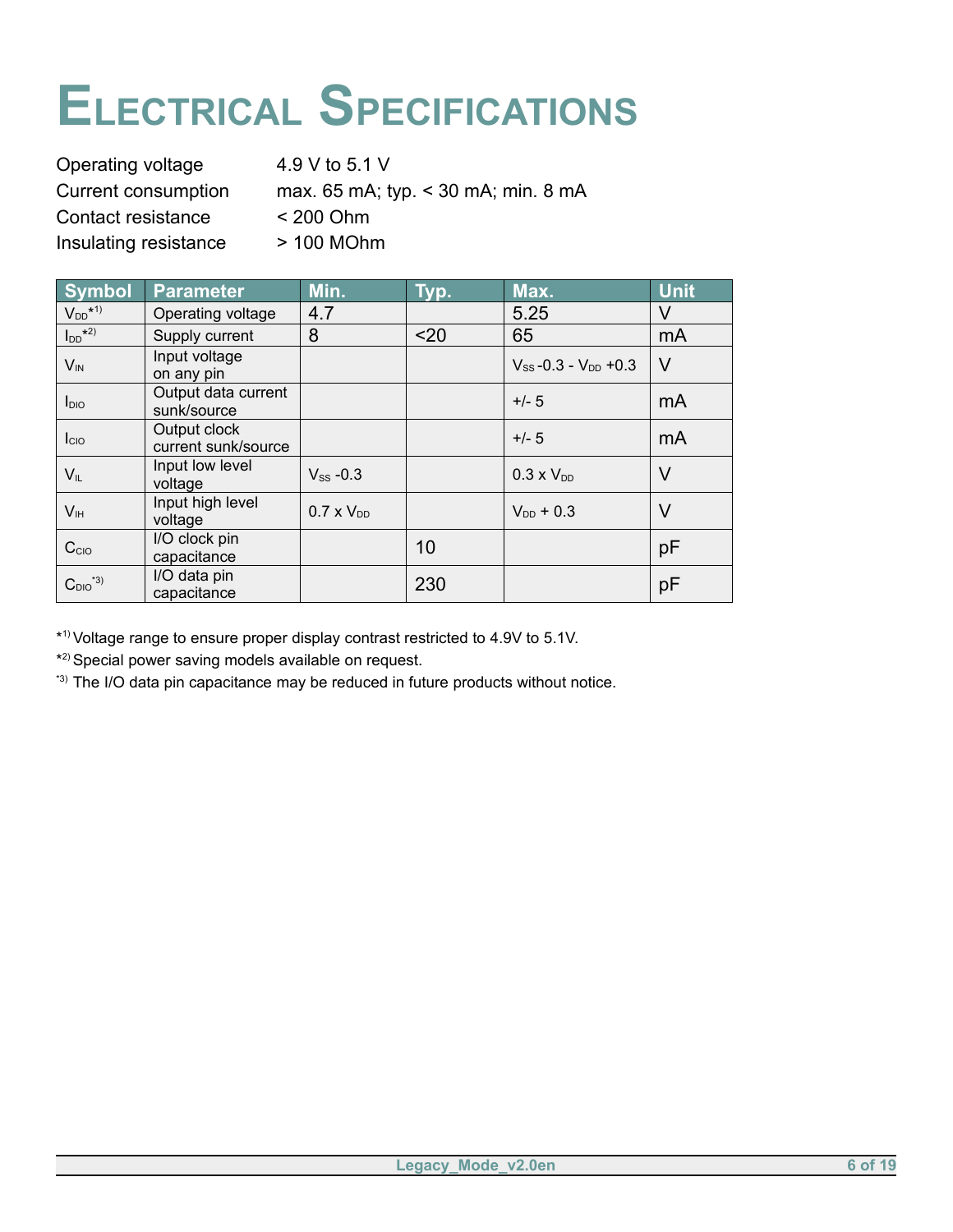## <span id="page-5-0"></span>**ELECTRICAL SPECIFICATIONS**

Operating voltage 4.9 V to 5.1 V Current consumption max. 65 mA; typ. < 30 mA; min. 8 mA Contact resistance < 200 Ohm Insulating resistance > 100 MOhm

| <b>Symbol</b>                           | <b>Parameter</b>                    | Min.                | Typ. | Max.                          | <b>Unit</b> |
|-----------------------------------------|-------------------------------------|---------------------|------|-------------------------------|-------------|
| $V_{DD}$ * <sup>1)</sup>                | Operating voltage                   | 4.7                 |      | 5.25                          | V           |
| $\mathsf{I}_{\mathsf{DD}}{}^{\star 2)}$ | Supply current                      | 8                   | $20$ | 65                            | mA          |
| $V_{IN}$                                | Input voltage<br>on any pin         |                     |      | $V_{SS}$ -0.3 - $V_{DD}$ +0.3 | V           |
| $I_{DIO}$                               | Output data current<br>sunk/source  |                     |      | $+/- 5$                       | mA          |
| I <sub>ClO</sub>                        | Output clock<br>current sunk/source |                     |      | $+/- 5$                       | mA          |
| $V_{IL}$                                | Input low level<br>voltage          | $V_{SS}$ -0.3       |      | $0.3 \times V_{DD}$           | V           |
| V <sub>IH</sub>                         | Input high level<br>voltage         | $0.7 \times V_{DD}$ |      | $V_{DD}$ + 0.3                | V           |
| C <sub>ClO</sub>                        | I/O clock pin<br>capacitance        |                     | 10   |                               | pF          |
| $C_{DIO}^{\star 3)}$                    | I/O data pin<br>capacitance         |                     | 230  |                               | pF          |

\* 1) Voltage range to ensure proper display contrast restricted to 4.9V to 5.1V.

\* 2) Special power saving models available on request.

<sup>\*3)</sup> The I/O data pin capacitance may be reduced in future products without notice.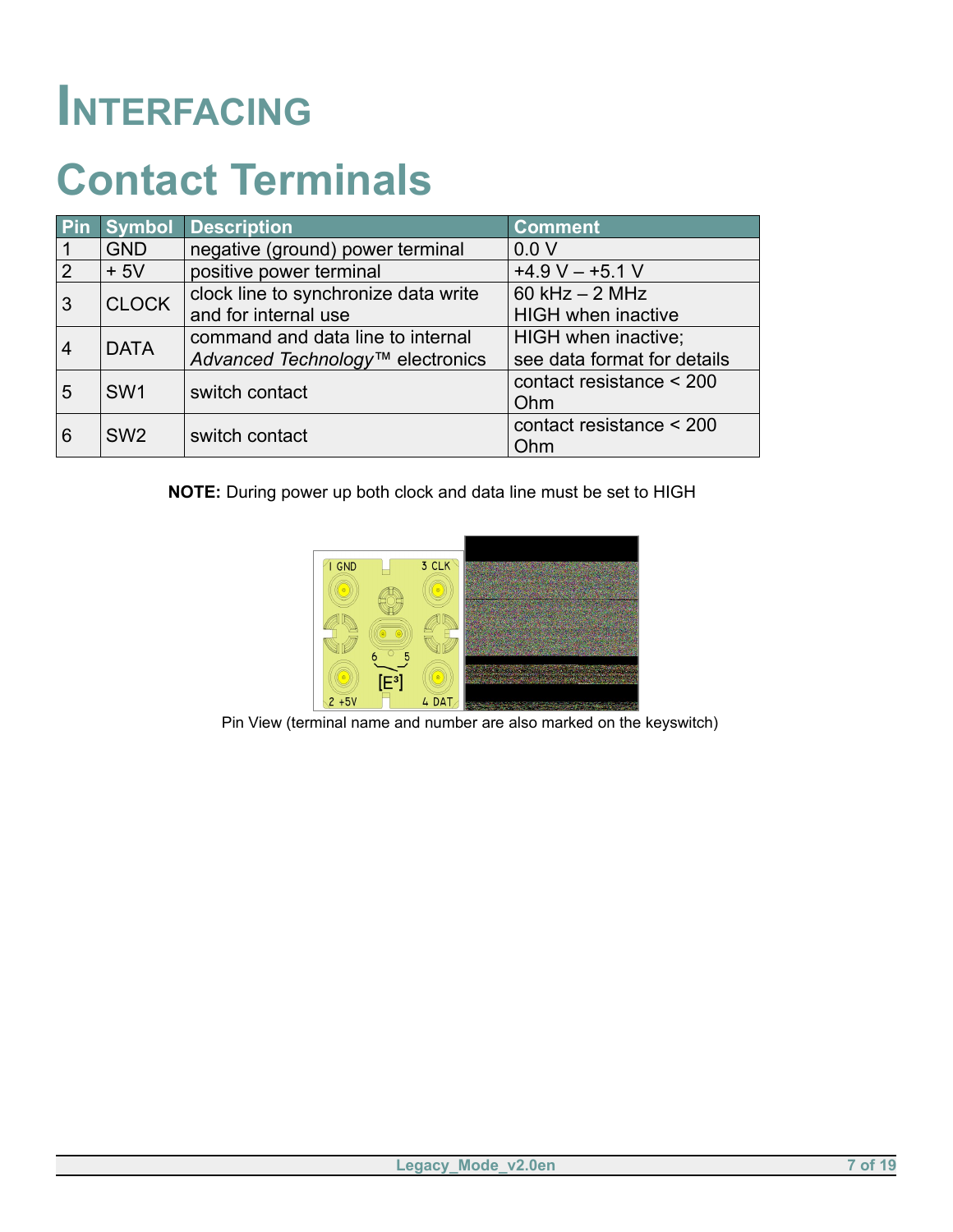## <span id="page-6-1"></span>**INTERFACING**

### <span id="page-6-0"></span>**Contact Terminals**

| Pin | Symbol          | <b>Description</b>                   | <b>Comment</b>              |
|-----|-----------------|--------------------------------------|-----------------------------|
|     | <b>GND</b>      | negative (ground) power terminal     | 0.0V                        |
| 2   | $+5V$           | positive power terminal              | $+4.9 V - +5.1 V$           |
| 3   | <b>CLOCK</b>    | clock line to synchronize data write | 60 $kHz - 2 MHz$            |
|     |                 | and for internal use                 | <b>HIGH</b> when inactive   |
| 4   | <b>DATA</b>     | command and data line to internal    | HIGH when inactive;         |
|     |                 | Advanced Technology™ electronics     | see data format for details |
| 5   | SW <sub>1</sub> | switch contact                       | contact resistance < 200    |
|     |                 |                                      | Ohm                         |
| 6   | SW <sub>2</sub> | switch contact                       | contact resistance < 200    |
|     |                 |                                      | Ohm                         |

**NOTE:** During power up both clock and data line must be set to HIGH



Pin View (terminal name and number are also marked on the keyswitch)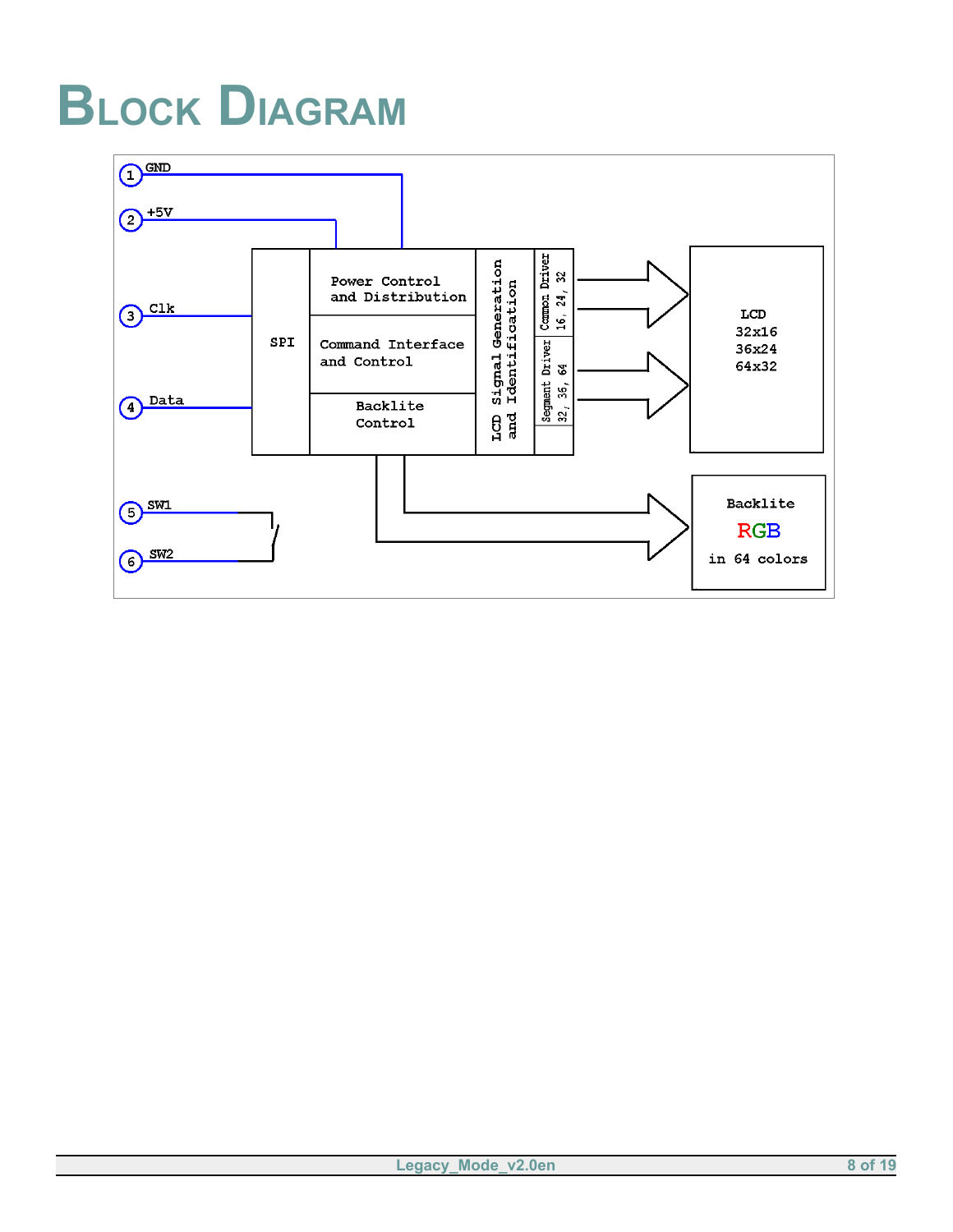## <span id="page-7-0"></span>**BLOCK DIAGRAM**

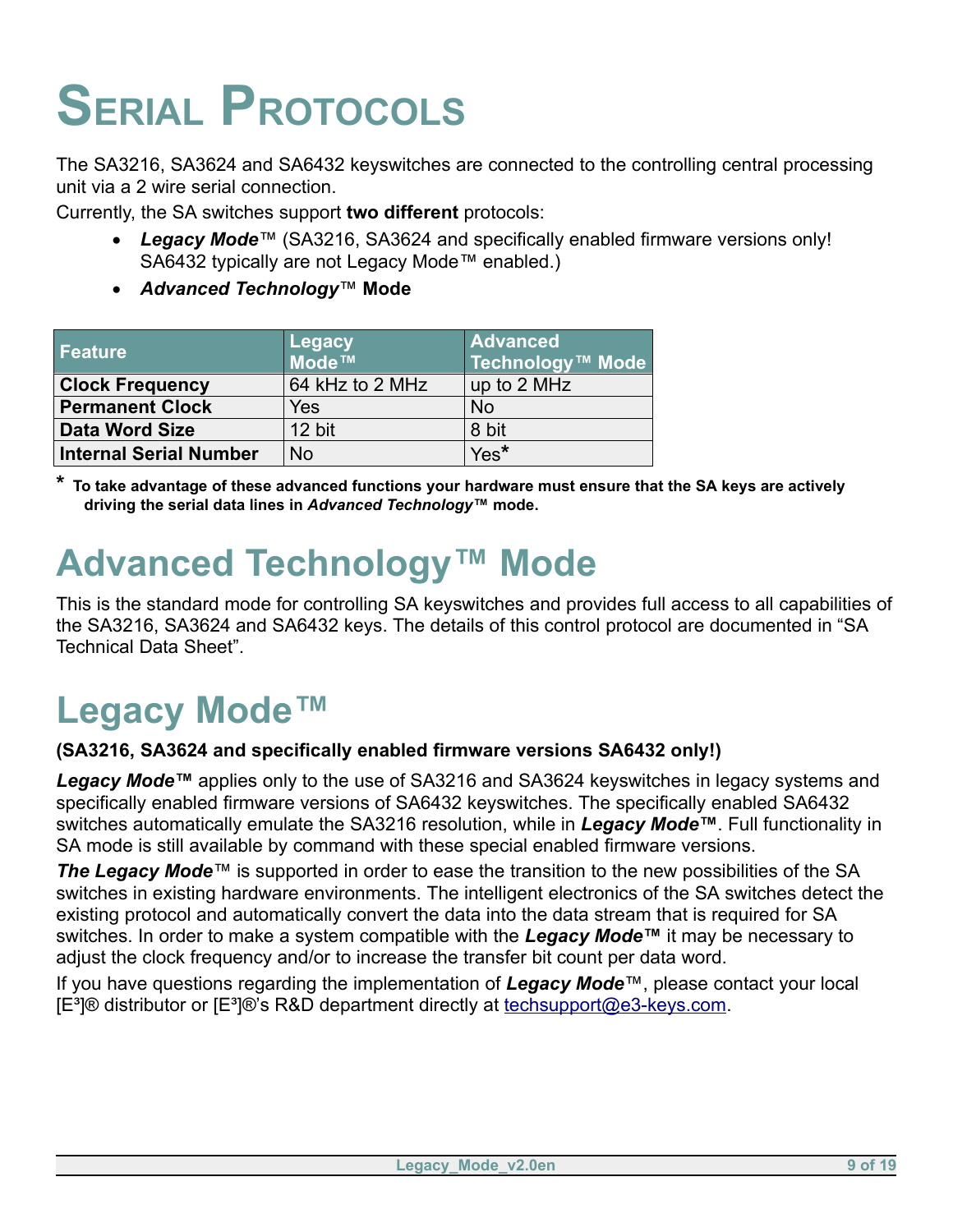# <span id="page-8-2"></span>**SERIAL PROTOCOLS**

The SA3216, SA3624 and SA6432 keyswitches are connected to the controlling central processing unit via a 2 wire serial connection.

Currently, the SA switches support **two different** protocols:

- *Legacy Mode*™ (SA3216, SA3624 and specifically enabled firmware versions only! SA6432 typically are not Legacy Mode™ enabled.)
- *Advanced Technology*™ **Mode**

| Feature                       | Legacy<br>$Mode^{TM}$ | <b>Advanced</b><br>Technology™ Mode |
|-------------------------------|-----------------------|-------------------------------------|
| <b>Clock Frequency</b>        | 64 kHz to 2 MHz       | up to 2 MHz                         |
| <b>Permanent Clock</b>        | Yes                   | <b>No</b>                           |
| <b>Data Word Size</b>         | 12 bit                | 8 bit                               |
| <b>Internal Serial Number</b> | <b>No</b>             | Yes*                                |

\* To take advantage of these advanced functions your hardware must ensure that the SA keys are actively **driving the serial data lines in** *Advanced Technology***™ mode.**

### <span id="page-8-1"></span>**Advanced Technology™ Mode**

This is the standard mode for controlling SA keyswitches and provides full access to all capabilities of the SA3216, SA3624 and SA6432 keys. The details of this control protocol are documented in "SA Technical Data Sheet".

### <span id="page-8-0"></span>**Legacy Mode™**

#### **(SA3216, SA3624 and specifically enabled firmware versions SA6432 only!)**

*Legacy Mode***™** applies only to the use of SA3216 and SA3624 keyswitches in legacy systems and specifically enabled firmware versions of SA6432 keyswitches. The specifically enabled SA6432 switches automatically emulate the SA3216 resolution, while in *Legacy Mode***™**. Full functionality in SA mode is still available by command with these special enabled firmware versions.

*The Legacy Mode*™ is supported in order to ease the transition to the new possibilities of the SA switches in existing hardware environments. The intelligent electronics of the SA switches detect the existing protocol and automatically convert the data into the data stream that is required for SA switches. In order to make a system compatible with the *Legacy Mode***™** it may be necessary to adjust the clock frequency and/or to increase the transfer bit count per data word.

If you have questions regarding the implementation of *Legacy Mode*™, please contact your local [E³]® distributor or [E³]®'s R&D department directly at [techsupport@e3-keys.com](mailto:techsupport@e3-keys.com).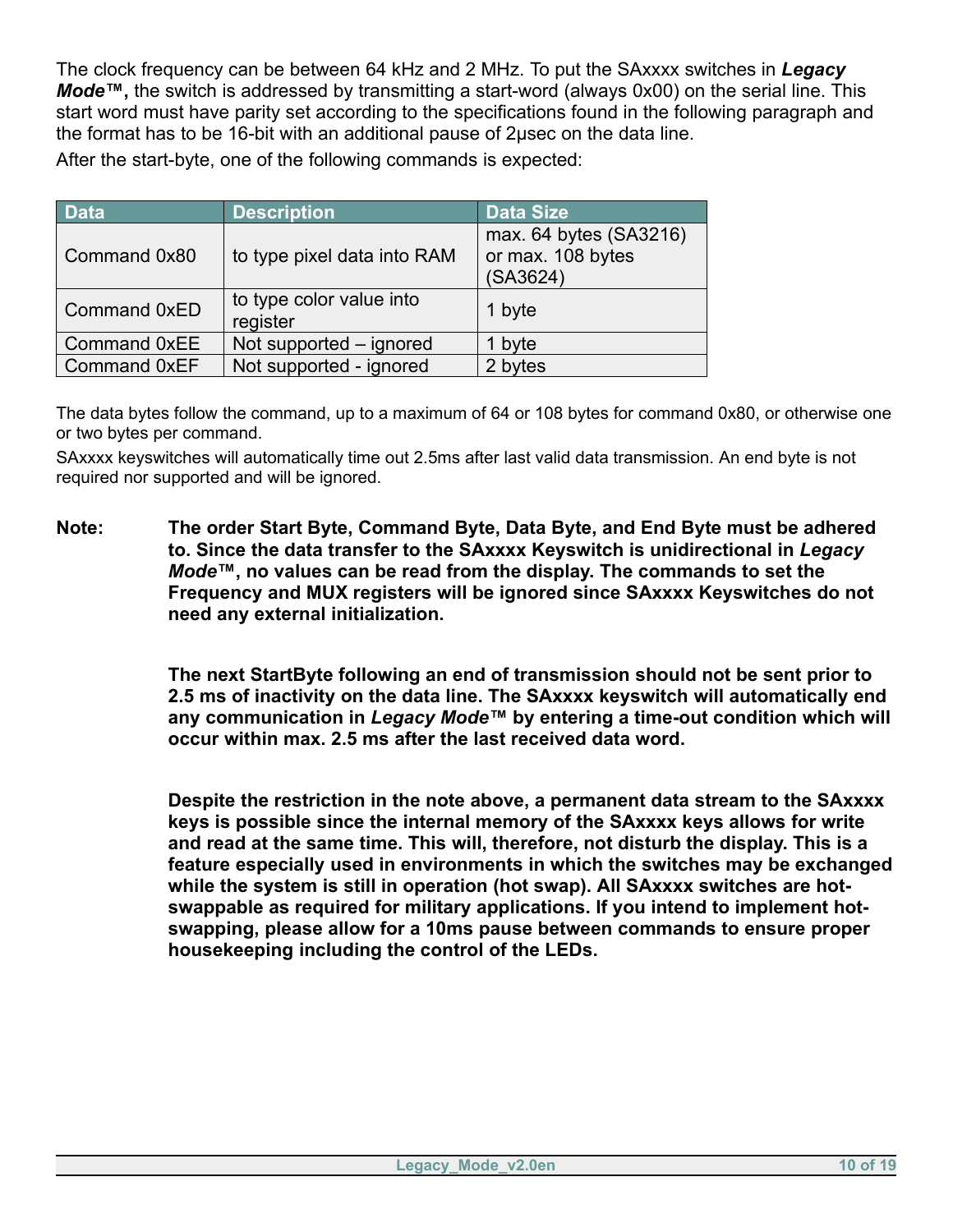The clock frequency can be between 64 kHz and 2 MHz. To put the SAxxxx switches in *Legacy Mode***™,** the switch is addressed by transmitting a start-word (always 0x00) on the serial line. This start word must have parity set according to the specifications found in the following paragraph and the format has to be 16-bit with an additional pause of 2µsec on the data line.

After the start-byte, one of the following commands is expected:

| <b>Data</b>         | <b>Description</b>                   | <b>Data Size</b>                                        |
|---------------------|--------------------------------------|---------------------------------------------------------|
| Command 0x80        | to type pixel data into RAM          | max. 64 bytes (SA3216)<br>or max. 108 bytes<br>(SA3624) |
| <b>Command 0xED</b> | to type color value into<br>register | 1 byte                                                  |
| <b>Command 0xEE</b> | Not supported – ignored              | 1 byte                                                  |
| Command 0xEF        | Not supported - ignored              | 2 bytes                                                 |

The data bytes follow the command, up to a maximum of 64 or 108 bytes for command 0x80, or otherwise one or two bytes per command.

SAxxxx keyswitches will automatically time out 2.5ms after last valid data transmission. An end byte is not required nor supported and will be ignored.

**Note: The order Start Byte, Command Byte, Data Byte, and End Byte must be adhered to. Since the data transfer to the SAxxxx Keyswitch is unidirectional in** *Legacy Mode***™, no values can be read from the display. The commands to set the Frequency and MUX registers will be ignored since SAxxxx Keyswitches do not need any external initialization.**

> **The next StartByte following an end of transmission should not be sent prior to 2.5 ms of inactivity on the data line. The SAxxxx keyswitch will automatically end any communication in** *Legacy Mode***™ by entering a time-out condition which will occur within max. 2.5 ms after the last received data word.**

> **Despite the restriction in the note above, a permanent data stream to the SAxxxx keys is possible since the internal memory of the SAxxxx keys allows for write and read at the same time. This will, therefore, not disturb the display. This is a feature especially used in environments in which the switches may be exchanged while the system is still in operation (hot swap). All SAxxxx switches are hotswappable as required for military applications. If you intend to implement hotswapping, please allow for a 10ms pause between commands to ensure proper housekeeping including the control of the LEDs.**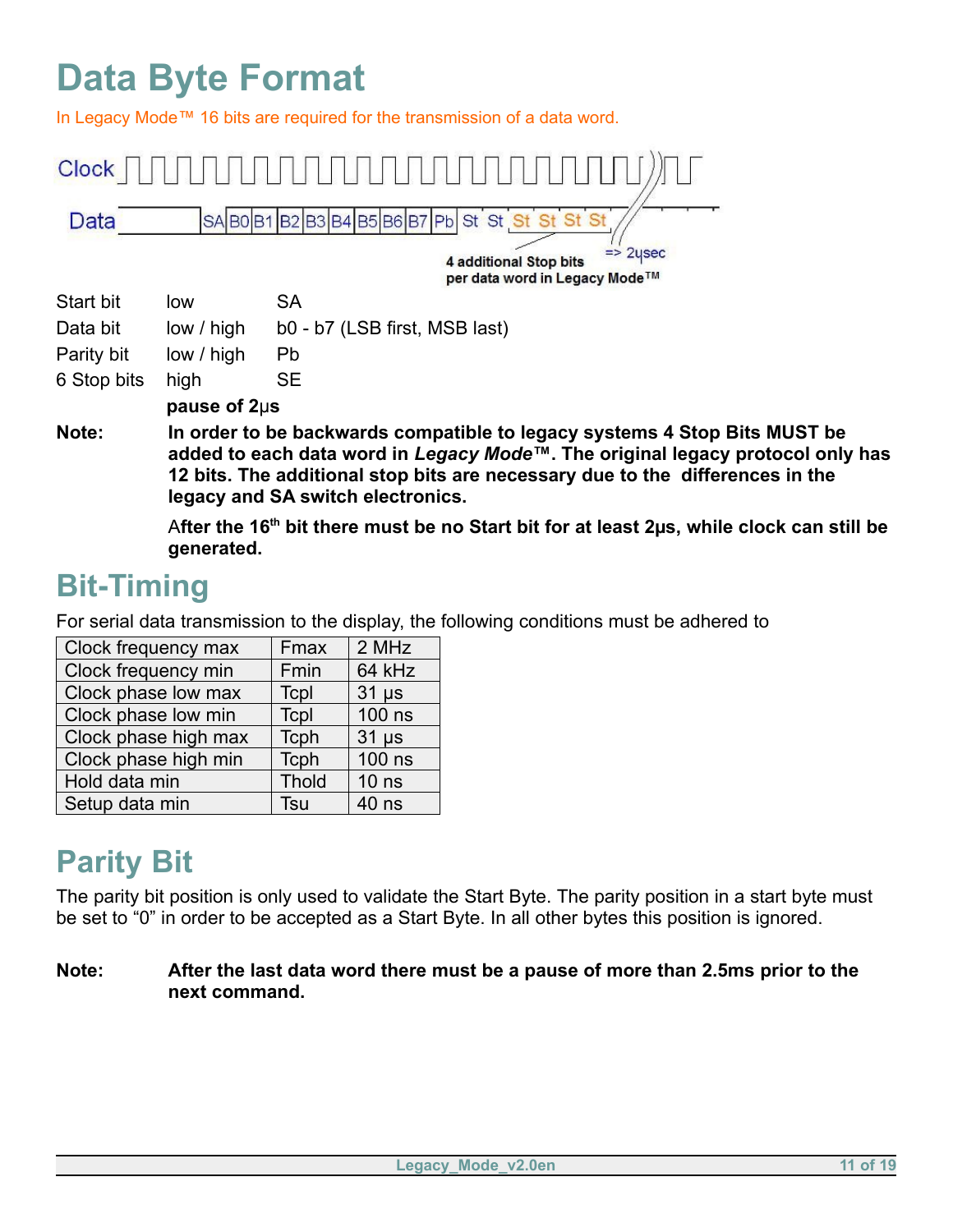#### <span id="page-10-2"></span>**Data Byte Format**

In Legacy Mode™ 16 bits are required for the transmission of a data word.

#### 100000000  $Clock$   $||||||||||||$ SABOB1B2B3B4B5B6B7Pb St St St St St St Data  $\Rightarrow$  2ysec 4 additional Stop bits per data word in Legacy Mode™ Start bit low SA Data bit low / high b0 - b7 (LSB first, MSB last) Parity bit low / high Pb 6 Stop bits high SE **pause of 2**µ**s Note: In order to be backwards compatible to legacy systems 4 Stop Bits MUST be added to each data word in** *Legacy Mode***™. The original legacy protocol only has 12 bits. The additional stop bits are necessary due to the differences in the legacy and SA switch electronics.** After the 16<sup>th</sup> bit there must be no Start bit for at least 2µs, while clock can still be **generated.**

#### <span id="page-10-1"></span>**Bit-Timing**

For serial data transmission to the display, the following conditions must be adhered to

| Clock frequency max  | Fmax         | 2 MHz      |
|----------------------|--------------|------------|
| Clock frequency min  | Fmin         | 64 kHz     |
| Clock phase low max  | Tcpl         | $31 \mu s$ |
| Clock phase low min  | Tcpl         | 100 ns     |
| Clock phase high max | Tcph         | $31 \mu s$ |
| Clock phase high min | Tcph         | 100 ns     |
| Hold data min        | <b>Thold</b> | $10$ ns    |
| Setup data min       | Tsu          | 40 ns      |

#### <span id="page-10-0"></span>**Parity Bit**

The parity bit position is only used to validate the Start Byte. The parity position in a start byte must be set to "0" in order to be accepted as a Start Byte. In all other bytes this position is ignored.

**Note: After the last data word there must be a pause of more than 2.5ms prior to the next command.**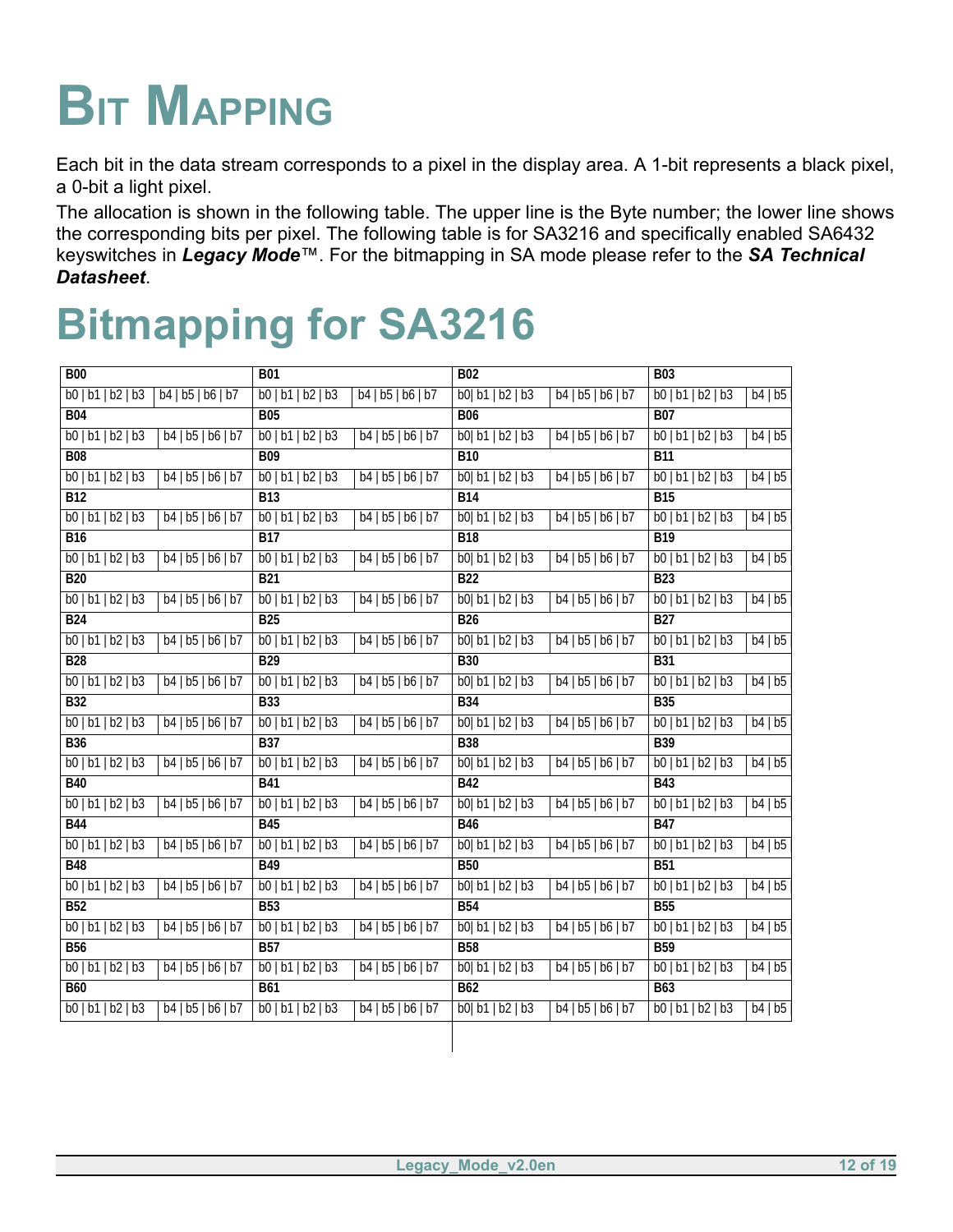## <span id="page-11-1"></span>**BIT MAPPING**

Each bit in the data stream corresponds to a pixel in the display area. A 1-bit represents a black pixel, a 0-bit a light pixel.

The allocation is shown in the following table. The upper line is the Byte number; the lower line shows the corresponding bits per pixel. The following table is for SA3216 and specifically enabled SA6432 keyswitches in *Legacy Mode*™. For the bitmapping in SA mode please refer to the *SA Technical Datasheet*.

## <span id="page-11-0"></span>**Bitmapping for SA3216**

| <b>B00</b>                                                 | <b>B01</b>                                          | <b>B02</b>                                                                           | <b>B03</b>                          |
|------------------------------------------------------------|-----------------------------------------------------|--------------------------------------------------------------------------------------|-------------------------------------|
| b4   b5   b6   b7<br>b0   b1   b2   b3                     | $\overline{b0 b1 }b2 b3$<br>b4   b5   b6   b7       | b4   b5   b6   b7<br>b0  b1   b2   b3                                                | b0   b1   b2   b3<br>b4 b5          |
| <b>B04</b>                                                 | <b>B05</b>                                          | <b>B06</b>                                                                           | <b>B07</b>                          |
| b4   b5   b6   b7<br>b0   b1   b2   b3                     | b4   b5   b6   b7<br>b0   b1   b2   b3              | b4   b5   b6   b7<br>b0  b1   b2   b3                                                | b0   b1   b2   b3<br>b4 b5          |
| <b>B08</b>                                                 | <b>B09</b>                                          | <b>B10</b>                                                                           | <b>B11</b>                          |
| b0   b1   b2   b3<br>b4   b5   b6   b7                     | b4   b5   b6   b7<br>b0   b1   b2   b3              | b4   b5   b6   b7<br>b0  b1   b2   b3                                                | b0   b1   b2   b3<br>b4 b5          |
| B12                                                        | <b>B13</b>                                          | <b>B14</b>                                                                           | <b>B15</b>                          |
| b0   b1   b2   b3<br>b4   b5   b6   b7                     | b0   b1   b2   b3<br>b4   b5   b6   b7              | b0 b1 b2 b3<br>b4   b5   b6   b7                                                     | $\overline{b0 b1 b2}$   b3<br>b4 b5 |
| <b>B16</b>                                                 | <b>B17</b>                                          | <b>B18</b>                                                                           | <b>B19</b>                          |
| b0   b1   b2   b3<br>b4   b5   b6   b7                     | b0   b1   b2   b3<br>b4   b5   b6   b7              | b0  b1   b2   b3<br>b4   b5   b6   b7                                                | b0   b1   b2   b3<br>b4 b5          |
| <b>B20</b>                                                 | <b>B21</b>                                          | <b>B22</b>                                                                           | <b>B23</b>                          |
| b0   b1   b2   b3<br>b4   b5   b6   b7                     | b0 b1 b2 b3<br>b4   b5   b6   b7                    | b0  b1   b2   b3<br>b4   b5   b6   b7                                                | $\overline{b0 b1 b2 b3}$<br>b4   b5 |
| <b>B24</b>                                                 | <b>B25</b>                                          | <b>B26</b>                                                                           | <b>B27</b>                          |
| b0   b1   b2   b3<br>b4   b5   b6   b7                     | b0   b1   b2   b3<br>b4   b5   b6   b7              | b0 b1 b2 b3<br>b4   b5   b6   b7                                                     | b0   b1   b2   b3<br>b4 b5          |
| <b>B28</b>                                                 | <b>B29</b>                                          | <b>B30</b>                                                                           | <b>B31</b>                          |
| b0   b1   b2   b3<br>b4   b5   b6   b7                     | b0   b1   b2   b3<br>b4   b5   b6   b7              | b0  b1   b2   b3<br>b4   b5   b6   b7                                                | b0   b1   b2   b3<br>b4 b5          |
| <b>B32</b>                                                 | <b>B33</b>                                          | <b>B34</b>                                                                           | <b>B35</b>                          |
| b0   b1   b2   b3<br>b4   b5   b6   b7                     | b0   b1   b2   b3<br>b4   b5   b6   b7              | $\overline{b0 b1 b2 }b3$<br>b4   b5   b6   b7                                        | b0   b1   b2   b3<br>b4   b5        |
| <b>B36</b>                                                 | $\overline{B37}$                                    | <b>B38</b>                                                                           | <b>B39</b>                          |
| $\overline{b0 b1 b2 b3}$<br>$\overline{b4   b5   b6   b7}$ | b0   b1   b2   b3<br>$\overline{b4   b5   b6   b7}$ | b0  b1   b2   b3<br>b4   b5   b6   b7                                                | b0   b1   b2   b3<br>b4   b5        |
| <b>B40</b>                                                 | <b>B41</b>                                          | <b>B42</b>                                                                           | <b>B43</b>                          |
| b0   b1   b2   b3<br>b4   b5   b6   b7                     | b0   b1   b2   b3<br>b4   b5   b6   b7              | b0 b1 b2 b3<br>b4   b5   b6   b7                                                     | b0   b1   b2   b3<br>b4 b5          |
| <b>B44</b>                                                 | <b>B45</b>                                          | <b>B46</b>                                                                           | <b>B47</b>                          |
| b0   b1   b2   b3<br>b4   b5   b6   b7                     | b4   b5   b6   b7<br>b0   b1   b2   b3              | b4   b5   b6   b7<br>b0  b1   b2   b3                                                | b0   b1   b2   b3<br>b4 b5          |
| <b>B48</b>                                                 | <b>B49</b>                                          | <b>B50</b>                                                                           | <b>B51</b>                          |
| b0   b1   b2   b3<br>b4   b5   b6   b7                     | b0   b1   b2   b3<br>b4   b5   b6   b7              | $\overline{b0}$ $\overline{b1}$ $\overline{b2}$ $\overline{b3}$<br>b4   b5   b6   b7 | $\overline{b0 b1 b2 b3}$<br>b4 b5   |
| <b>B52</b>                                                 | <b>B53</b>                                          | <b>B54</b>                                                                           | <b>B55</b>                          |
| b0   b1   b2   b3<br>b4   b5   b6   b7                     | b0   b1   b2   b3<br>b4   b5   b6   b7              | b0  b1   b2   b3<br>b4   b5   b6   b7                                                | b4 b5<br>b0   b1   b2   b3          |
| <b>B56</b>                                                 | <b>B57</b>                                          | <b>B58</b>                                                                           | <b>B59</b>                          |
| b0   b1   b2   b3<br>b4   b5   b6   b7                     | b0   b1   b2   b3<br>b4   b5   b6   b7              | b0 b1 b2 b3<br>b4   b5   b6   b7                                                     | b0   b1   b2   b3<br>b4 b5          |
| <b>B60</b>                                                 | <b>B61</b>                                          | <b>B62</b>                                                                           | <b>B63</b>                          |
| b0   b1   b2   b3<br>b4   b5   b6   b7                     | b0 b1 b2 b3<br>b4   b5   b6   b7                    | b4   b5   b6   b7<br>b0  b1   b2   b3                                                | b0   b1   b2   b3<br>b4 b5          |
|                                                            |                                                     |                                                                                      |                                     |
|                                                            |                                                     |                                                                                      |                                     |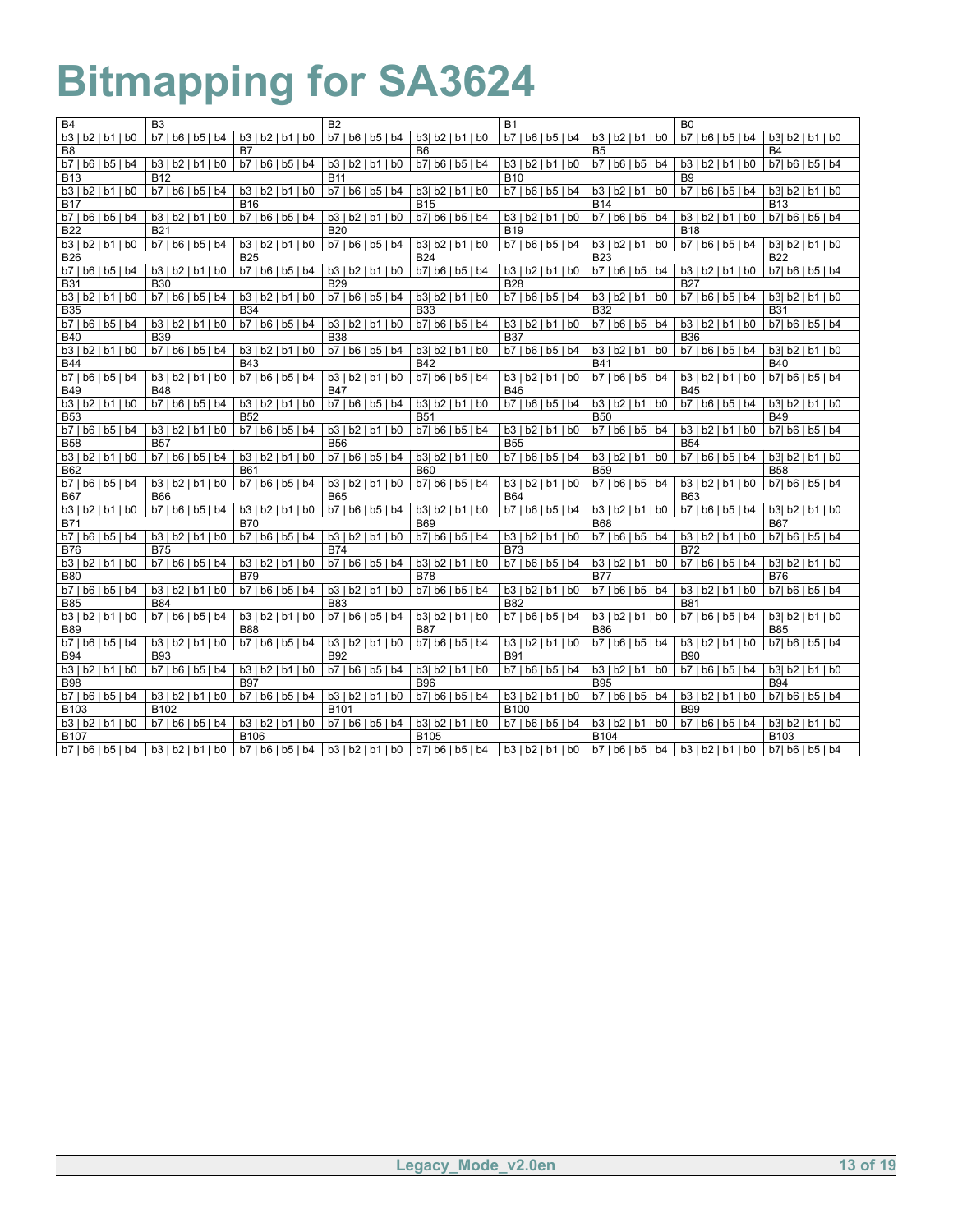## <span id="page-12-0"></span>**Bitmapping for SA3624**

| <b>B4</b>                       | B <sub>3</sub>                             |                                            | B <sub>2</sub>                             |                                | <b>B1</b>                                  |                                 | B <sub>0</sub>                             |                                |
|---------------------------------|--------------------------------------------|--------------------------------------------|--------------------------------------------|--------------------------------|--------------------------------------------|---------------------------------|--------------------------------------------|--------------------------------|
| $b3 \mid b2 \mid b1 \mid b0$    | b7   b6   b5   b4                          | $b3 \mid b2 \mid b1 \mid b0$               | b7   b6   b5   b4                          | b3l b2   b1   b0               | b7   b6   b5   b4                          | $b3 \mid b2 \mid b1 \mid b0$    | $b7 \mid b6 \mid b5 \mid b4$               | b3l b2   b1   b0               |
| B <sub>8</sub>                  |                                            | B7                                         |                                            | B <sub>6</sub>                 |                                            | B <sub>5</sub>                  |                                            | <b>B4</b>                      |
| b7   b6   b5   b4               | b3   b2   b1   b0                          | b7   b6   b5   b4                          | $b3 \mid b2 \mid b1 \mid b0$               | b7  b6   b5   b4               | b3   b2   b1   b0                          | b7   b6   b5   b4               | $b3 \mid b2 \mid b1 \mid b0$               | b7  b6   b5   b4               |
| <b>B13</b>                      | <b>B12</b>                                 |                                            | <b>B11</b>                                 |                                | <b>B10</b>                                 |                                 | <b>B9</b>                                  |                                |
| b3   b2   b1   b0               | b7   b6   b5   b4                          | $b3 \mid b2 \mid b1 \mid b0$               | b7   b6   b5   b4                          | b3  b2   b1   b0               | b7   b6   b5   b4                          | $b3 \mid b2 \mid b1 \mid b0$    | b7   b6   b5   b4                          | b3  b2   b1   b0               |
| <b>B17</b>                      |                                            | <b>B16</b>                                 |                                            | <b>B15</b>                     |                                            | <b>B14</b>                      |                                            | <b>B13</b>                     |
| b7   b6   b5   b4<br><b>B22</b> | $b3 \mid b2 \mid b1 \mid b0$<br><b>B21</b> | b7   b6   b5   b4                          | $b3 \mid b2 \mid b1 \mid b0$<br><b>B20</b> | b7  b6   b5   b4               | $b3 \mid b2 \mid b1 \mid b0$<br><b>B19</b> | b7   b6   b5   b4               | $b3 \mid b2 \mid b1 \mid b0$<br><b>B18</b> | b7  b6   b5   b4               |
| b3   b2   b1   b0               | b7   b6   b5   b4                          | b3 b2 b1 b0                                | b7   b6   b5   b4                          | b3  b2   b1   b0               | b7   b6   b5   b4                          | $b3 \mid b2 \mid b1 \mid b0$    | $b7 \mid b6 \mid b5 \mid b4$               | b3l b2   b1   b0               |
| <b>B26</b>                      |                                            | <b>B25</b>                                 |                                            | <b>B24</b>                     |                                            | <b>B23</b>                      |                                            | <b>B22</b>                     |
| b7   b6   b5   b4               | $b3 \mid b2 \mid b1 \mid b0$               | b7   b6   b5   b4                          | b3   b2   b1   b0                          | $b7$   $b6$   $b5$   $b4$      | b3   b2   b1   b0                          | b7   b6   b5   b4               | b3   b2   b1   b0                          | b7  b6   b5   b4               |
| <b>B31</b>                      | <b>B30</b>                                 |                                            | <b>B29</b>                                 |                                | <b>B28</b>                                 |                                 | <b>B27</b>                                 |                                |
| b3   b2   b1   b0               | $b7 \mid b6 \mid b5 \mid b4$               | $b3 \mid b2 \mid b1 \mid b0$               | b7   b6   b5   b4                          | b3  b2   b1   b0               | b7   b6   b5   b4                          | $b3 \mid b2 \mid b1 \mid b0$    | $b7 \mid b6 \mid b5 \mid b4$               | b3  b2   b1   b0               |
| <b>B35</b>                      |                                            | <b>B34</b>                                 |                                            | <b>B33</b>                     |                                            | <b>B32</b>                      |                                            | <b>B31</b>                     |
| b7   b6   b5   b4               | $b3 \mid b2 \mid b1 \mid b0$               | b7   b6   b5   b4                          | b3   b2   b1   b0                          | $b7$   $b6$   $b5$   $b4$      | b3   b2   b1   b0                          | b7   b6   b5   b4               | b3   b2   b1   b0                          | $b7$   $b6$   $b5$   $b4$      |
| <b>B40</b>                      | <b>B39</b>                                 |                                            | <b>B38</b>                                 |                                | <b>B37</b>                                 |                                 | <b>B36</b>                                 |                                |
| $b3 \mid b2 \mid b1 \mid b0$    | $b7 \mid b6 \mid b5 \mid b4$               | $b3 \mid b2 \mid b1 \mid b0$               | $b7 \mid b6 \mid b5 \mid b4$               | b3  b2   b1   b0               | b7   b6   b5   b4                          | b3   b2   b1   b0               | $b7 \mid b6 \mid b5 \mid b4$               | b3l b2   b1   b0               |
| <b>B44</b>                      |                                            | <b>B43</b>                                 |                                            | <b>B42</b>                     |                                            | <b>B41</b>                      |                                            | <b>B40</b>                     |
| b7   b6   b5   b4               | $b3 \mid b2 \mid b1 \mid b0$               | b7   b6   b5   b4                          | b3   b2   b1   b0                          | $b7$   $b6$   $b5$   $b4$      | b3   b2   b1   b0                          | b7   b6   b5   b4               | $b3 \mid b2 \mid b1 \mid b0$               | b7  b6   b5   b4               |
| <b>B49</b>                      | <b>B48</b>                                 |                                            | <b>B47</b>                                 |                                | <b>B46</b>                                 |                                 | <b>B45</b>                                 |                                |
| b3   b2   b1   b0               | $b7 \mid b6 \mid b5 \mid b4$               | $b3 \mid b2 \mid b1 \mid b0$               | b7   b6   b5   b4                          | b3  b2   b1   b0               | b7   b6   b5   b4                          | b3   b2   b1   b0               | b7   b6   b5   b4                          | b3l b2   b1   b0               |
| <b>B53</b>                      |                                            | <b>B52</b>                                 |                                            | <b>B51</b>                     |                                            | <b>B50</b>                      |                                            | <b>B49</b>                     |
| b7   b6   b5   b4<br><b>B58</b> | $b3 \mid b2 \mid b1 \mid b0$<br><b>B57</b> | b7   b6   b5   b4                          | b3   b2   b1   b0<br><b>B56</b>            | b7  b6   b5   b4               | b3   b2   b1   b0<br><b>B55</b>            | b7   b6   b5   b4               | b3   b2   b1   b0<br><b>B54</b>            | b7  b6   b5   b4               |
| b3   b2   b1   b0               | b7   b6   b5   b4                          | b3   b2   b1   b0                          | b7   b6   b5   b4                          | b3  b2   b1   b0               | b7   b6   b5   b4                          | $b3 \mid b2 \mid b1 \mid b0$    | b7   b6   b5   b4                          | b3  b2   b1   b0               |
| <b>B62</b>                      |                                            | <b>B61</b>                                 |                                            | <b>B60</b>                     |                                            | <b>B59</b>                      |                                            | <b>B58</b>                     |
| b7   b6   b5   b4               | b3   b2   b1   b0                          | b7   b6   b5   b4                          | b3   b2   b1   b0                          | b7  b6   b5   b4               | b3   b2   b1   b0                          | $b7 \mid b6 \mid b5 \mid b4$    | $b3 \mid b2 \mid b1 \mid b0$               | b7  b6   b5   b4               |
| <b>B67</b>                      | <b>B66</b>                                 |                                            | <b>B65</b>                                 |                                | <b>B64</b>                                 |                                 | <b>B63</b>                                 |                                |
| b3   b2   b1   b0               | b7   b6   b5   b4                          | b3   b2   b1   b0                          | b7   b6   b5   b4                          | b3  b2   b1   b0               | b7   b6   b5   b4                          | b3   b2   b1   b0               | b7   b6   b5   b4                          | b3  b2   b1   b0               |
| <b>B71</b>                      |                                            | <b>B70</b>                                 |                                            | <b>B69</b>                     |                                            | <b>B68</b>                      |                                            | <b>B67</b>                     |
| b7   b6   b5   b4               | b3   b2   b1   b0                          | b7   b6   b5   b4                          | b3   b2   b1   b0                          | $b7$   $b6$   $b5$   $b4$      | b3   b2   b1   b0                          | b7   b6   b5   b4               | b3   b2   b1   b0                          | $b7$   $b6$   $b5$   $b4$      |
| <b>B76</b>                      | <b>B75</b>                                 |                                            | <b>B74</b>                                 |                                | <b>B73</b>                                 |                                 | <b>B72</b>                                 |                                |
| b3   b2   b1   b0               | b7   b6   b5   b4                          | b3   b2   b1   b0                          | b7   b6   b5   b4                          | b3  b2   b1   b0               | b7   b6   b5   b4                          | b3   b2   b1   b0               | b7   b6   b5   b4                          | b3  b2   b1   b0               |
| <b>B80</b>                      |                                            | <b>B79</b>                                 |                                            | <b>B78</b>                     |                                            | <b>B77</b>                      |                                            | <b>B76</b>                     |
| b7   b6   b5   b4               | b3   b2   b1   b0                          | $b7 \mid b6 \mid b5 \mid b4$               | b3   b2   b1   b0                          | $b7$   $b6$   $b5$   $b4$      | b3   b2   b1   b0                          | b7   b6   b5   b4               | b3   b2   b1   b0                          | $b7$   $b6$   $b5$   $b4$      |
| <b>B85</b>                      | <b>B84</b>                                 |                                            | <b>B83</b>                                 |                                | <b>B82</b>                                 |                                 | <b>B81</b>                                 |                                |
| b3   b2   b1   b0<br><b>B89</b> | b7   b6   b5   b4                          | $b3 \mid b2 \mid b1 \mid b0$<br><b>B88</b> | b7   b6   b5   b4                          | b3  b2   b1   b0<br><b>B87</b> | b7   b6   b5   b4                          | b3   b2   b1   b0<br><b>B86</b> | b7   b6   b5   b4                          | b3l b2   b1   b0<br><b>B85</b> |
| b7   b6   b5   b4               | $b3 \mid b2 \mid b1 \mid b0$               | b7   b6   b5   b4                          | b3   b2   b1   b0                          | b7  b6   b5   b4               | b3   b2   b1   b0                          | b7   b6   b5   b4               | $b3 \mid b2 \mid b1 \mid b0$               | b7  b6   b5   b4               |
| <b>B94</b>                      | <b>B93</b>                                 |                                            | <b>B92</b>                                 |                                | <b>B91</b>                                 |                                 | <b>B90</b>                                 |                                |
| b3   b2   b1   b0               | b7   b6   b5   b4                          | b3   b2   b1   b0                          | b7   b6   b5   b4                          | b3  b2   b1   b0               | b7   b6   b5   b4                          | $b3 \mid b2 \mid b1 \mid b0$    | b7   b6   b5   b4                          | b3  b2   b1   b0               |
| <b>B98</b>                      |                                            | <b>B97</b>                                 |                                            | <b>B96</b>                     |                                            | <b>B95</b>                      |                                            | <b>B94</b>                     |
| b7   b6   b5   b4               | b3   b2   b1   b0                          | b7   b6   b5   b4                          | b3   b2   b1   b0                          | b7  b6   b5   b4               | b3   b2   b1   b0                          | b7   b6   b5   b4               | b3   b2   b1   b0                          | $b7$   $b6$   $b5$   $b4$      |
| B <sub>103</sub>                | B <sub>102</sub>                           |                                            | B <sub>101</sub>                           |                                | B <sub>100</sub>                           |                                 | <b>B99</b>                                 |                                |
| b3   b2   b1   b0               | b7   b6   b5   b4                          | b3   b2   b1   b0                          | b7   b6   b5   b4                          | b3  b2   b1   b0               | b7   b6   b5   b4                          | b3   b2   b1   b0               | b7   b6   b5   b4                          | b3  b2   b1   b0               |
| <b>B107</b>                     |                                            | B <sub>106</sub>                           |                                            | <b>B105</b>                    |                                            | B104                            |                                            | B <sub>103</sub>               |
| b7   b6   b5   b4               | b3   b2   b1   b0                          | b7   b6   b5   b4                          | b3   b2   b1   b0                          | b7  b6   b5   b4               | b3   b2   b1   b0                          | b7   b6   b5   b4               | b3   b2   b1   b0                          | b7  b6   b5   b4               |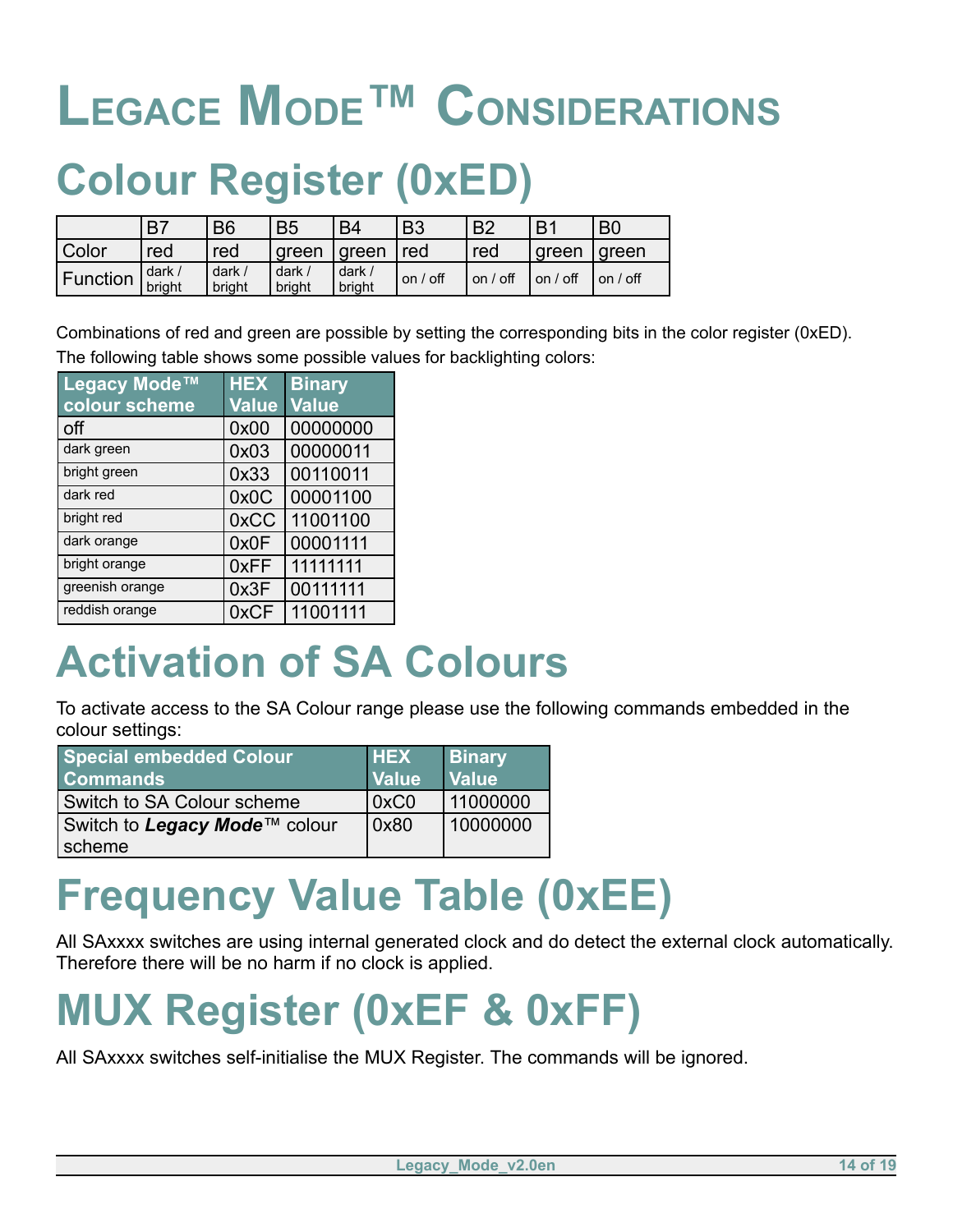## <span id="page-13-4"></span>**LEGACE MODE™ CONSIDERATIONS**

### <span id="page-13-3"></span>**Colour Register (0xED)**

|              | B7                        | B <sub>6</sub>   | <b>B5</b>       | <b>B4</b>        | B <sub>3</sub> | B <sub>2</sub> | B <sub>1</sub> | B <sub>0</sub> |
|--------------|---------------------------|------------------|-----------------|------------------|----------------|----------------|----------------|----------------|
| <b>Color</b> | red                       | red              | green Igreen    |                  | <u>red</u>     | red            | areen          | green          |
| Function     | dark $/$<br><b>bright</b> | dark /<br>bright | dark/<br>bright | dark /<br>bright | on $/$ off     | on / off       | on / off       | on $/$ off     |

Combinations of red and green are possible by setting the corresponding bits in the color register (0xED). The following table shows some possible values for backlighting colors:

| Legacy Mode™    | <b>HEX</b>   | <b>Binary</b> |
|-----------------|--------------|---------------|
| colour scheme   | <b>Value</b> | <b>Value</b>  |
| off             | 0x00         | 00000000      |
| dark green      | 0x03         | 00000011      |
| bright green    | 0x33         | 00110011      |
| dark red        | 0x0C         | 00001100      |
| bright red      | 0xCC         | 11001100      |
| dark orange     | 0x0F         | 00001111      |
| bright orange   | 0xFF         | 11111111      |
| greenish orange | 0x3F         | 00111111      |
| reddish orange  | 0xCF         | 11001111      |

### <span id="page-13-2"></span>**Activation of SA Colours**

To activate access to the SA Colour range please use the following commands embedded in the colour settings:

| <b>Special embedded Colour</b> | <b>HEX</b>   | <b>Binary</b> |
|--------------------------------|--------------|---------------|
| <b>Commands</b>                | <b>Value</b> | Value         |
| Switch to SA Colour scheme     | 0xC0         | 11000000      |
| Switch to Legacy Mode™ colour  | 0x80 l       | 10000000      |
| scheme                         |              |               |

### <span id="page-13-1"></span>**Frequency Value Table (0xEE)**

All SAxxxx switches are using internal generated clock and do detect the external clock automatically. Therefore there will be no harm if no clock is applied.

### <span id="page-13-0"></span>**MUX Register (0xEF & 0xFF)**

All SAxxxx switches self-initialise the MUX Register. The commands will be ignored.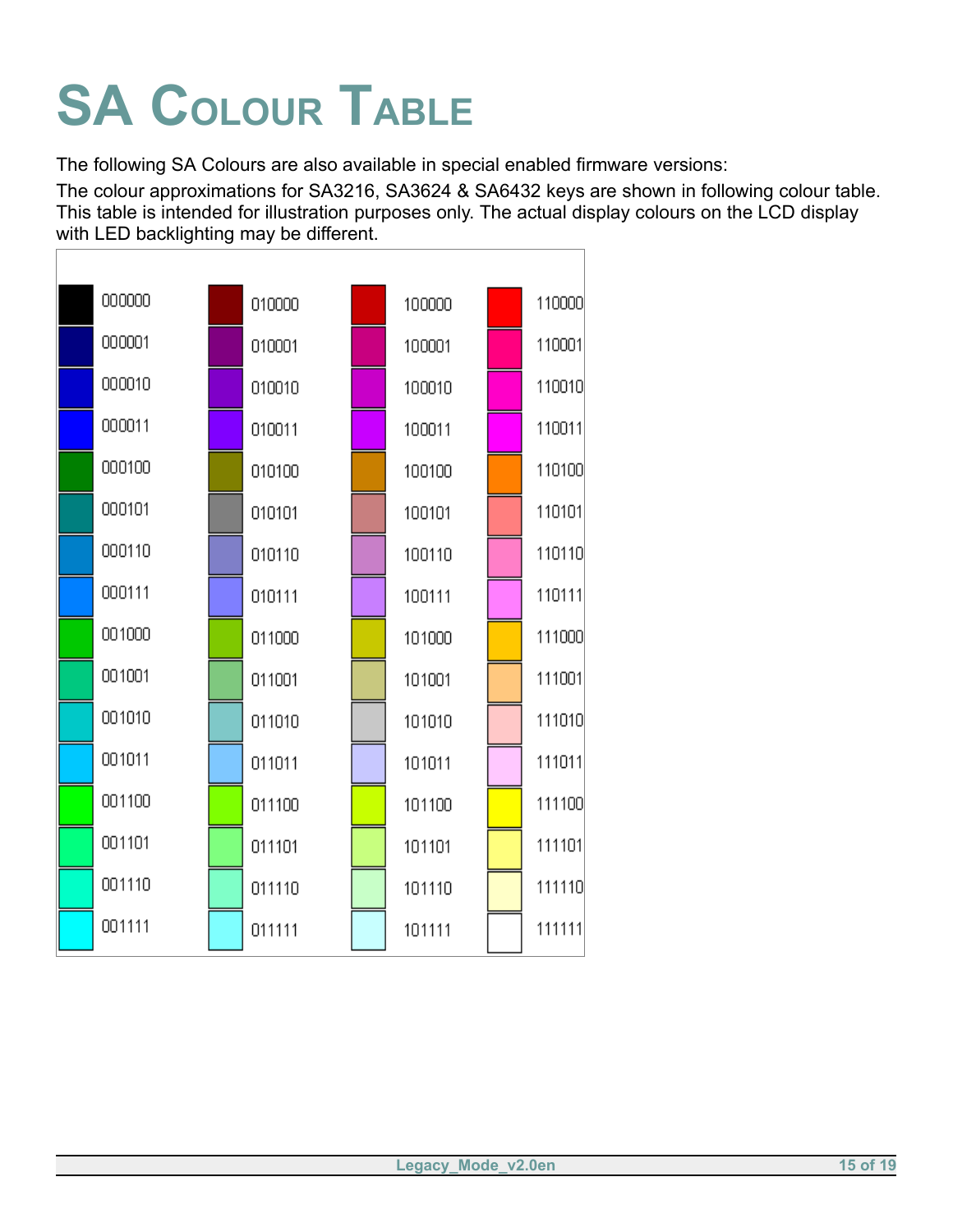# <span id="page-14-0"></span>**SA COLOUR TABLE**

The following SA Colours are also available in special enabled firmware versions:

The colour approximations for SA3216, SA3624 & SA6432 keys are shown in following colour table. This table is intended for illustration purposes only. The actual display colours on the LCD display with LED backlighting may be different.

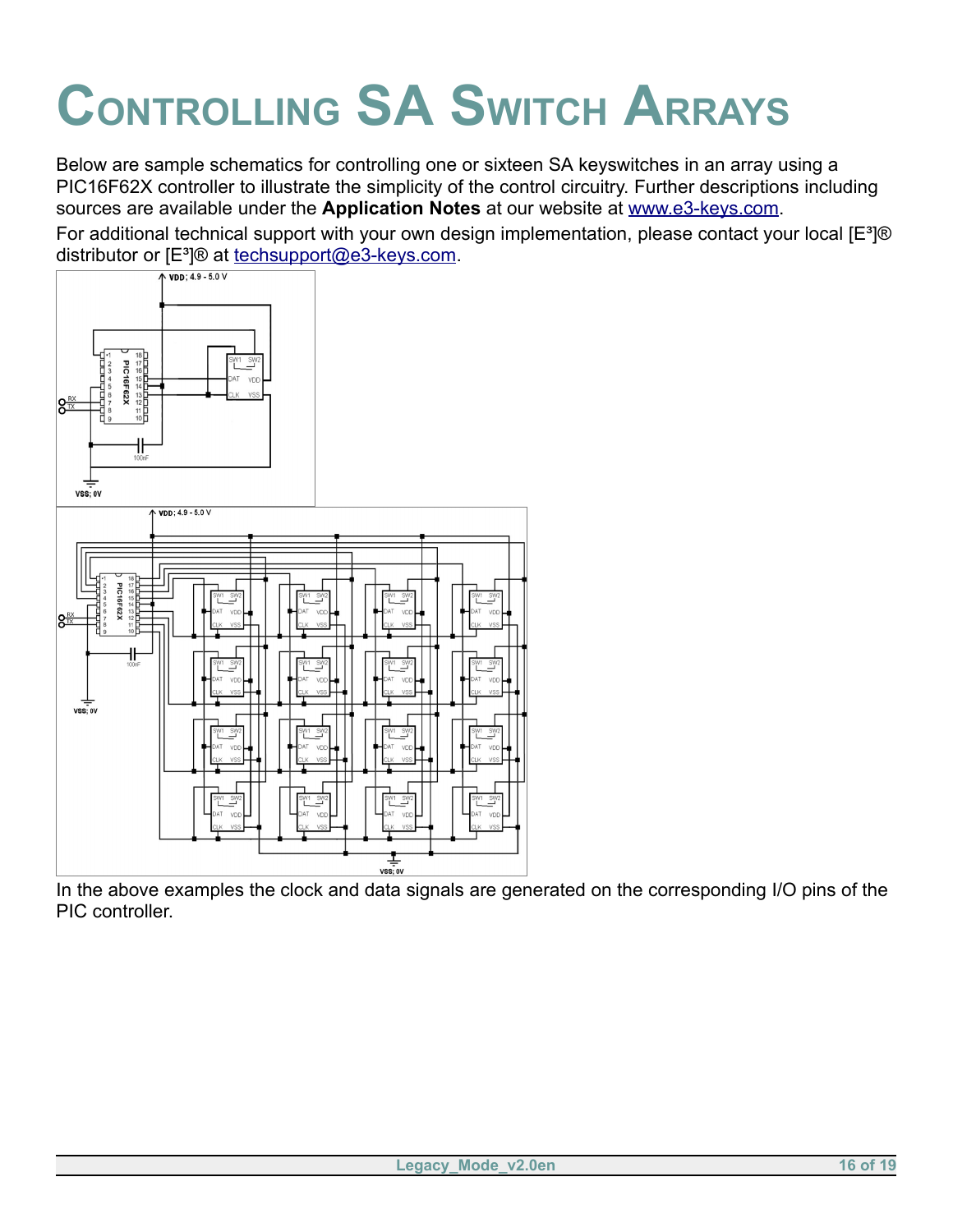# <span id="page-15-0"></span>**CONTROLLING SA SWITCH ARRAYS**

Below are sample schematics for controlling one or sixteen SA keyswitches in an array using a PIC16F62X controller to illustrate the simplicity of the control circuitry. Further descriptions including sources are available under the **Application Notes** at our website at [www.e3-keys.com.](http://www.e3-keys.com/)

For additional technical support with your own design implementation, please contact your local [E<sup>3</sup>]® distributor or  $[E^3]$ <sup>®</sup> at <u>[techsupport@e3-keys.com](mailto:techsupport@e3-keys.com)</u>.



In the above examples the clock and data signals are generated on the corresponding I/O pins of the PIC controller.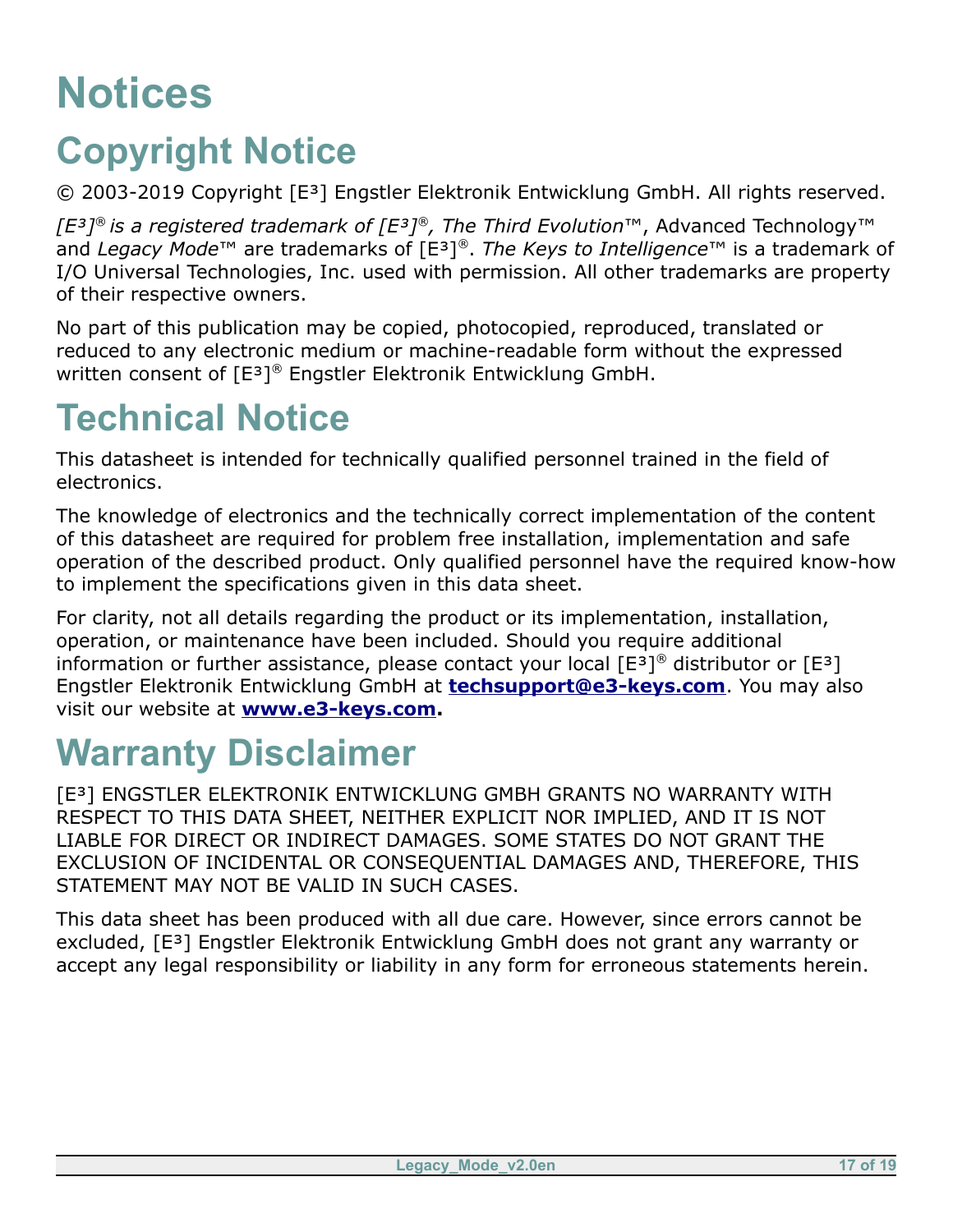### <span id="page-16-3"></span>**Notices**

### <span id="page-16-2"></span>**Copyright Notice**

© 2003-2019 Copyright [E³] Engstler Elektronik Entwicklung GmbH. All rights reserved.

*[E³]® is a registered trademark of [E³]®, The Third Evolution*™, Advanced Technology™ and *Legacy Mode*™ are trademarks of [E³]*®*. *The Keys to Intelligence*™ is a trademark of I/O Universal Technologies, Inc. used with permission. All other trademarks are property of their respective owners.

No part of this publication may be copied, photocopied, reproduced, translated or reduced to any electronic medium or machine-readable form without the expressed written consent of [E³]*®* Engstler Elektronik Entwicklung GmbH.

### <span id="page-16-1"></span>**Technical Notice**

This datasheet is intended for technically qualified personnel trained in the field of electronics.

The knowledge of electronics and the technically correct implementation of the content of this datasheet are required for problem free installation, implementation and safe operation of the described product. Only qualified personnel have the required know-how to implement the specifications given in this data sheet.

For clarity, not all details regarding the product or its implementation, installation, operation, or maintenance have been included. Should you require additional information or further assistance, please contact your local [E<sup>3</sup>]<sup>®</sup> distributor or [E<sup>3</sup>] Engstler Elektronik Entwicklung GmbH at **[techsupport@e3-keys.com](mailto:techsupport@e3-keys.com)**. You may also visit our website at **[www.e3-keys.com](http://www.e3-keys.com/).**

#### <span id="page-16-0"></span>**Warranty Disclaimer**

[E<sup>3</sup>] ENGSTLER ELEKTRONIK ENTWICKLUNG GMBH GRANTS NO WARRANTY WITH RESPECT TO THIS DATA SHEET, NEITHER EXPLICIT NOR IMPLIED, AND IT IS NOT LIABLE FOR DIRECT OR INDIRECT DAMAGES. SOME STATES DO NOT GRANT THE EXCLUSION OF INCIDENTAL OR CONSEQUENTIAL DAMAGES AND, THEREFORE, THIS STATEMENT MAY NOT BE VALID IN SUCH CASES.

This data sheet has been produced with all due care. However, since errors cannot be excluded, [E³] Engstler Elektronik Entwicklung GmbH does not grant any warranty or accept any legal responsibility or liability in any form for erroneous statements herein.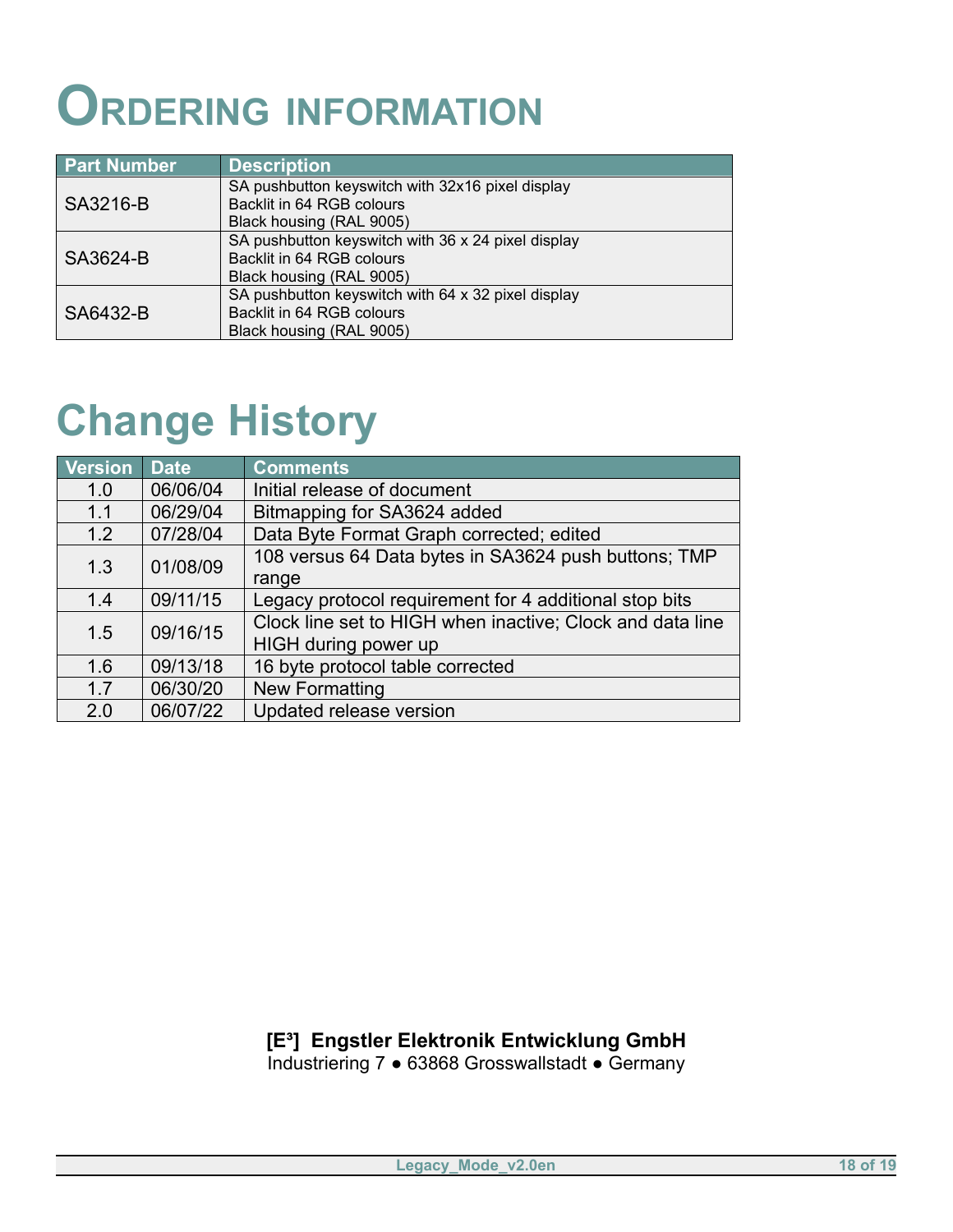## <span id="page-17-1"></span>**ORDERING INFORMATION**

| <b>Part Number</b> | <b>Description</b>                                 |
|--------------------|----------------------------------------------------|
| SA3216-B           | SA pushbutton keyswitch with 32x16 pixel display   |
|                    | Backlit in 64 RGB colours                          |
|                    | Black housing (RAL 9005)                           |
|                    | SA pushbutton keyswitch with 36 x 24 pixel display |
| SA3624-B           | Backlit in 64 RGB colours                          |
|                    | Black housing (RAL 9005)                           |
|                    | SA pushbutton keyswitch with 64 x 32 pixel display |
| SA6432-B           | Backlit in 64 RGB colours                          |
|                    | Black housing (RAL 9005)                           |

### <span id="page-17-0"></span>**Change History**

| <b>Version</b> | <b>Date</b> | <b>Comments</b>                                           |  |
|----------------|-------------|-----------------------------------------------------------|--|
| 1.0            | 06/06/04    | Initial release of document                               |  |
| 1.1            | 06/29/04    | Bitmapping for SA3624 added                               |  |
| 1.2            | 07/28/04    | Data Byte Format Graph corrected; edited                  |  |
| 1.3            | 01/08/09    | 108 versus 64 Data bytes in SA3624 push buttons; TMP      |  |
|                |             | range                                                     |  |
| 1.4            | 09/11/15    | Legacy protocol requirement for 4 additional stop bits    |  |
| 1.5            | 09/16/15    | Clock line set to HIGH when inactive; Clock and data line |  |
|                |             | HIGH during power up                                      |  |
| 1.6            | 09/13/18    | 16 byte protocol table corrected                          |  |
| 1.7            | 06/30/20    | <b>New Formatting</b>                                     |  |
| 2.0            | 06/07/22    | Updated release version                                   |  |

#### **[E³] Engstler Elektronik Entwicklung GmbH**

Industriering 7 ● 63868 Grosswallstadt ● Germany